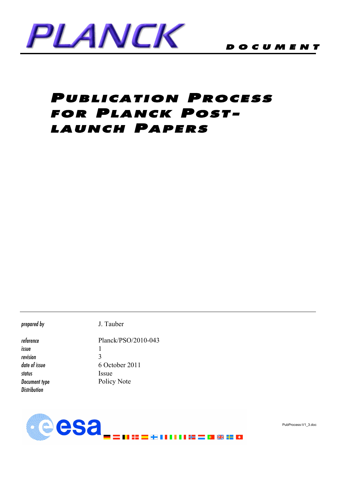

# PUBLICATION PROCESS FOR PLANCK POST-LAUNCH PAPERS

*prepared by* J. Tauber

*reference* Planck/PSO/2010-043 *issue* 1 *revision* 3 *date of issue* 6 October 2011 *status* Issue **Document type** Policy Note *Distribution*



PubProcess-V1\_3.doc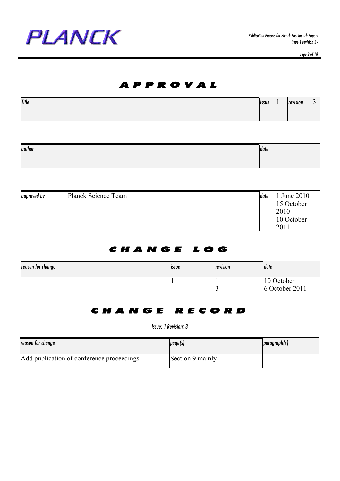

*page 2 of 18*

|                                           |                      | P P R O V A L        |                                |                                                                 |
|-------------------------------------------|----------------------|----------------------|--------------------------------|-----------------------------------------------------------------|
| Title                                     |                      |                      |                                | $\overline{3}$<br>$\mathbf{1}$<br>revision<br>issue             |
| author                                    |                      |                      |                                | date                                                            |
|                                           |                      |                      |                                |                                                                 |
| approved by                               | Planck Science Team  |                      |                                | date<br>1 June 2010<br>15 October<br>2010<br>10 October<br>2011 |
| reason for change                         | CHANGE LOG           | issue                | revision                       | date                                                            |
|                                           |                      | $\mathbf{1}$         | $\mathbf{1}$<br>$\overline{3}$ | 10 October<br>6 October 2011                                    |
|                                           | <b>CHANGE RECORD</b> | Issue: 1 Revision: 3 |                                |                                                                 |
| reason for change                         |                      | page(s)              |                                | paragraph(s)                                                    |
| Add publication of conference proceedings |                      | Section 9 mainly     |                                |                                                                 |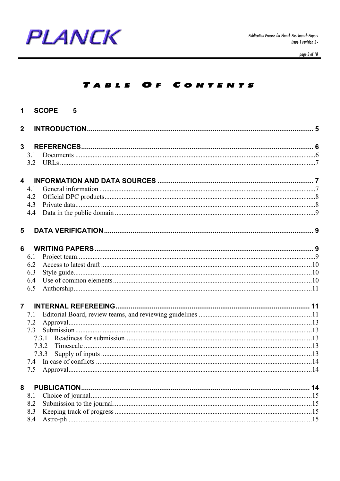

page 3 of 18

#### TABLE OF CONTENTS

| $\mathbf 1$             | <b>SCOPE</b><br>$\overline{\phantom{0}}$ 5 |  |
|-------------------------|--------------------------------------------|--|
| $\overline{2}$          |                                            |  |
| 3                       |                                            |  |
|                         | 3.1                                        |  |
|                         |                                            |  |
| $\overline{\mathbf{4}}$ |                                            |  |
|                         | 4.1                                        |  |
|                         | 4.2                                        |  |
|                         | 4.3                                        |  |
|                         | 4.4                                        |  |
| 5                       |                                            |  |
| 6                       |                                            |  |
|                         | 6.1                                        |  |
|                         | 6.2                                        |  |
|                         | 6.3                                        |  |
|                         | 6.4                                        |  |
|                         | 6.5                                        |  |
| $\overline{7}$          |                                            |  |
|                         | 7.1                                        |  |
|                         | 7.2                                        |  |
|                         |                                            |  |
|                         | 7.3.1                                      |  |
|                         | 7.3.2                                      |  |
|                         | 7.3.3                                      |  |
|                         | 7.5                                        |  |
|                         |                                            |  |
| 8                       | <b>PUBLICATION.</b>                        |  |
|                         | 8.1<br>8.2                                 |  |
|                         | 8.3                                        |  |
|                         | 8.4                                        |  |
|                         |                                            |  |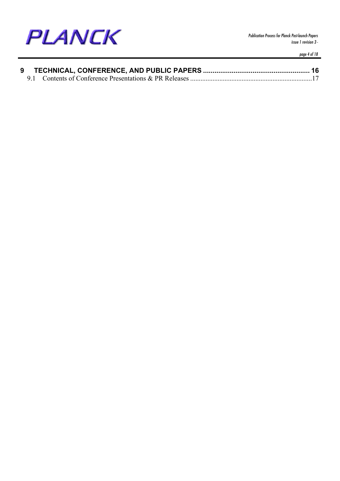

*page 4 of 18*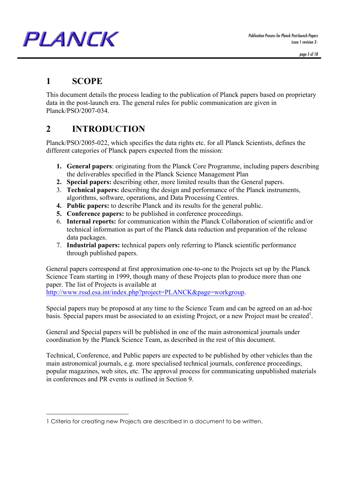*Publication Process for Planck Post-launch Papers issue 1 revision 3 -*

*page 5 of 18*

#### **1 SCOPE**

PLANCK

 $\overline{a}$ 

This document details the process leading to the publication of Planck papers based on proprietary data in the post-launch era. The general rules for public communication are given in Planck/PSO/2007-034.

# **2 INTRODUCTION**

Planck/PSO/2005-022, which specifies the data rights etc. for all Planck Scientists, defines the different categories of Planck papers expected from the mission:

- **1. General papers**: originating from the Planck Core Programme, including papers describing the deliverables specified in the Planck Science Management Plan
- **2. Special papers:** describing other, more limited results than the General papers.
- 3. **Technical papers:** describing the design and performance of the Planck instruments, algorithms, software, operations, and Data Processing Centres.
- **4. Public papers:** to describe Planck and its results for the general public.
- **5. Conference papers:** to be published in conference proceedings.
- 6. **Internal reports:** for communication within the Planck Collaboration of scientific and/or technical information as part of the Planck data reduction and preparation of the release data packages.
- 7. **Industrial papers:** technical papers only referring to Planck scientific performance through published papers.

General papers correspond at first approximation one-to-one to the Projects set up by the Planck Science Team starting in 1999, though many of these Projects plan to produce more than one paper. The list of Projects is available at http://www.rssd.esa.int/index.php?project=PLANCK&page=workgroup.

Special papers may be proposed at any time to the Science Team and can be agreed on an ad-hoc basis. Special papers must be associated to an existing Project, or a new Project must be created<sup>1</sup>.

General and Special papers will be published in one of the main astronomical journals under coordination by the Planck Science Team, as described in the rest of this document.

Technical, Conference, and Public papers are expected to be published by other vehicles than the main astronomical journals, e.g. more specialised technical journals, conference proceedings, popular magazines, web sites, etc. The approval process for communicating unpublished materials in conferences and PR events is outlined in Section 9.

<sup>1</sup> Criteria for creating new Projects are described in a document to be written.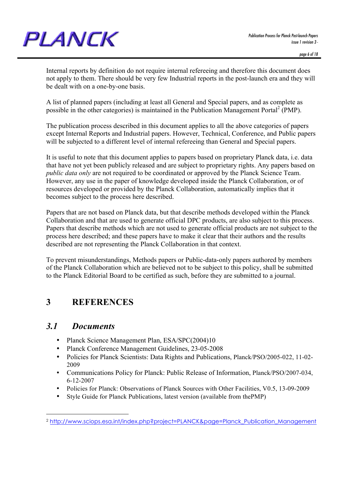

Internal reports by definition do not require internal refereeing and therefore this document does not apply to them. There should be very few Industrial reports in the post-launch era and they will be dealt with on a one-by-one basis.

A list of planned papers (including at least all General and Special papers, and as complete as possible in the other categories) is maintained in the Publication Management Portal<sup>2</sup> (PMP).

The publication process described in this document applies to all the above categories of papers except Internal Reports and Industrial papers. However, Technical, Conference, and Public papers will be subjected to a different level of internal refereeing than General and Special papers.

It is useful to note that this document applies to papers based on proprietary Planck data, i.e. data that have not yet been publicly released and are subject to proprietary rights. Any papers based on *public data only* are not required to be coordinated or approved by the Planck Science Team. However, any use in the paper of knowledge developed inside the Planck Collaboration, or of resources developed or provided by the Planck Collaboration, automatically implies that it becomes subject to the process here described.

Papers that are not based on Planck data, but that describe methods developed within the Planck Collaboration and that are used to generate official DPC products, are also subject to this process. Papers that describe methods which are not used to generate official products are not subject to the process here described; and these papers have to make it clear that their authors and the results described are not representing the Planck Collaboration in that context.

To prevent misunderstandings, Methods papers or Public-data-only papers authored by members of the Planck Collaboration which are believed not to be subject to this policy, shall be submitted to the Planck Editorial Board to be certified as such, before they are submitted to a journal.

#### **3 REFERENCES**

#### *3.1 Documents*

 $\overline{a}$ 

- Planck Science Management Plan, ESA/SPC(2004)10
- Planck Conference Management Guidelines, 23-05-2008
- Policies for Planck Scientists: Data Rights and Publications, Planck/PSO/2005-022, 11-02- 2009
- Communications Policy for Planck: Public Release of Information, Planck/PSO/2007-034, 6-12-2007
- Policies for Planck: Observations of Planck Sources with Other Facilities, V0.5, 13-09-2009
- Style Guide for Planck Publications, latest version (available from thePMP)

<sup>2</sup> http://www.sciops.esa.int/index.php?project=PLANCK&page=Planck\_Publication\_Management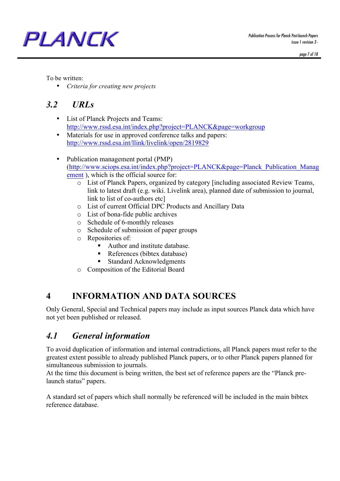

To be written:

• *Criteria for creating new projects*

# *3.2 URLs*

PLANCK

- List of Planck Projects and Teams: http://www.rssd.esa.int/index.php?project=PLANCK&page=workgroup
- Materials for use in approved conference talks and papers: http://www.rssd.esa.int/llink/livelink/open/2819829
- Publication management portal (PMP) (http://www.sciops.esa.int/index.php?project=PLANCK&page=Planck\_Publication\_Manag ement ), which is the official source for:
	- o List of Planck Papers, organized by category [including associated Review Teams, link to latest draft (e.g. wiki. Livelink area), planned date of submission to journal, link to list of co-authors etc]
	- o List of current Official DPC Products and Ancillary Data
	- o List of bona-fide public archives
	- o Schedule of 6-monthly releases
	- o Schedule of submission of paper groups
	- o Repositories of:
		- ! Author and institute database.
		- ! References (bibtex database)
		- Standard Acknowledgments
	- o Composition of the Editorial Board

# **4 INFORMATION AND DATA SOURCES**

Only General, Special and Technical papers may include as input sources Planck data which have not yet been published or released.

# *4.1 General information*

To avoid duplication of information and internal contradictions, all Planck papers must refer to the greatest extent possible to already published Planck papers, or to other Planck papers planned for simultaneous submission to journals.

At the time this document is being written, the best set of reference papers are the "Planck prelaunch status" papers.

A standard set of papers which shall normally be referenced will be included in the main bibtex reference database.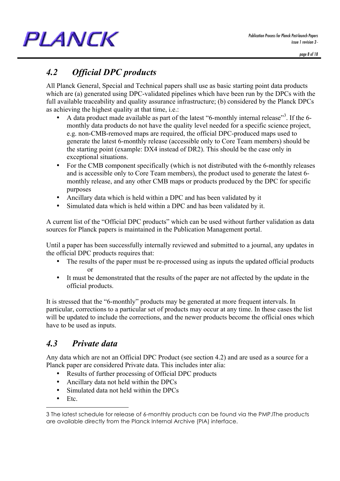#### *Publication Process for Planck Post-launch Papers issue 1 revision 3 -*

PLANCK

*4.2 Official DPC products*

All Planck General, Special and Technical papers shall use as basic starting point data products which are (a) generated using DPC-validated pipelines which have been run by the DPCs with the full available traceability and quality assurance infrastructure; (b) considered by the Planck DPCs as achieving the highest quality at that time, i.e.:

- A data product made available as part of the latest "6-monthly internal release"<sup>3</sup>. If the 6monthly data products do not have the quality level needed for a specific science project, e.g. non-CMB-removed maps are required, the official DPC-produced maps used to generate the latest 6-monthly release (accessible only to Core Team members) should be the starting point (example: DX4 instead of DR2). This should be the case only in exceptional situations.
- For the CMB component specifically (which is not distributed with the 6-monthly releases and is accessible only to Core Team members), the product used to generate the latest 6 monthly release, and any other CMB maps or products produced by the DPC for specific purposes
- Ancillary data which is held within a DPC and has been validated by it
- Simulated data which is held within a DPC and has been validated by it.

A current list of the "Official DPC products" which can be used without further validation as data sources for Planck papers is maintained in the Publication Management portal.

Until a paper has been successfully internally reviewed and submitted to a journal, any updates in the official DPC products requires that:

- The results of the paper must be re-processed using as inputs the updated official products or
- It must be demonstrated that the results of the paper are not affected by the update in the official products.

It is stressed that the "6-monthly" products may be generated at more frequent intervals. In particular, corrections to a particular set of products may occur at any time. In these cases the list will be updated to include the corrections, and the newer products become the official ones which have to be used as inputs.

# *4.3 Private data*

Any data which are not an Official DPC Product (see section 4.2) and are used as a source for a Planck paper are considered Private data. This includes inter alia:

- Results of further processing of Official DPC products
- Ancillary data not held within the DPCs
- Simulated data not held within the DPCs
- Etc.

 $\overline{a}$ 

<sup>3</sup> The latest schedule for release of 6-monthly products can be found via the PMP.lThe products are available directly from the Planck Internal Archive (PIA) interface.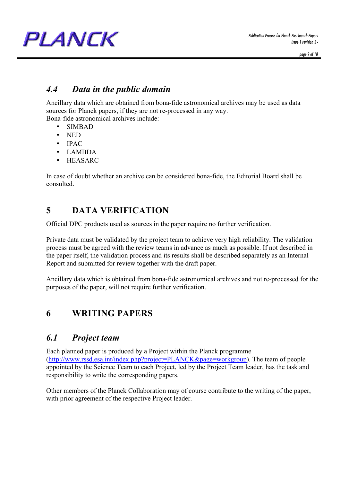### *4.4 Data in the public domain*

Ancillary data which are obtained from bona-fide astronomical archives may be used as data sources for Planck papers, if they are not re-processed in any way.

Bona-fide astronomical archives include:

- SIMBAD
- NED
- IPAC
- LAMBDA
- HEASARC

In case of doubt whether an archive can be considered bona-fide, the Editorial Board shall be consulted.

# **5 DATA VERIFICATION**

Official DPC products used as sources in the paper require no further verification.

Private data must be validated by the project team to achieve very high reliability. The validation process must be agreed with the review teams in advance as much as possible. If not described in the paper itself, the validation process and its results shall be described separately as an Internal Report and submitted for review together with the draft paper.

Ancillary data which is obtained from bona-fide astronomical archives and not re-processed for the purposes of the paper, will not require further verification.

# **6 WRITING PAPERS**

# *6.1 Project team*

Each planned paper is produced by a Project within the Planck programme (http://www.rssd.esa.int/index.php?project=PLANCK&page=workgroup). The team of people appointed by the Science Team to each Project, led by the Project Team leader, has the task and responsibility to write the corresponding papers.

Other members of the Planck Collaboration may of course contribute to the writing of the paper, with prior agreement of the respective Project leader.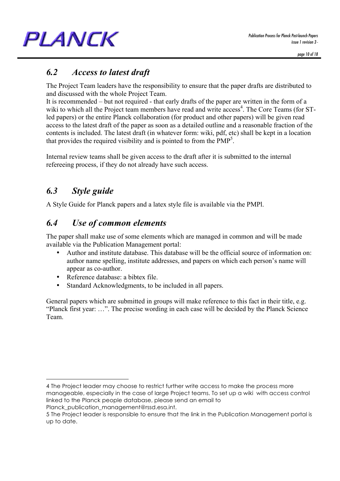# *6.2 Access to latest draft*

The Project Team leaders have the responsibility to ensure that the paper drafts are distributed to and discussed with the whole Project Team.

It is recommended – but not required - that early drafts of the paper are written in the form of a wiki to which all the Project team members have read and write access<sup>4</sup>. The Core Teams (for STled papers) or the entire Planck collaboration (for product and other papers) will be given read access to the latest draft of the paper as soon as a detailed outline and a reasonable fraction of the contents is included. The latest draft (in whatever form: wiki, pdf, etc) shall be kept in a location that provides the required visibility and is pointed to from the  $PMP<sup>5</sup>$ .

Internal review teams shall be given access to the draft after it is submitted to the internal refereeing process, if they do not already have such access.

# *6.3 Style guide*

 $\overline{a}$ 

A Style Guide for Planck papers and a latex style file is available via the PMPl.

# *6.4 Use of common elements*

The paper shall make use of some elements which are managed in common and will be made available via the Publication Management portal:

- Author and institute database. This database will be the official source of information on: author name spelling, institute addresses, and papers on which each person's name will appear as co-author.
- Reference database: a bibtex file.
- Standard Acknowledgments, to be included in all papers.

General papers which are submitted in groups will make reference to this fact in their title, e.g. "Planck first year: …". The precise wording in each case will be decided by the Planck Science Team.

4 The Project leader may choose to restrict further write access to make the process more manageable, especially in the case of large Project teams. To set up a wiki with access control linked to the Planck people database, please send an email to Planck publication management@rssd.esa.int.

<sup>5</sup> The Project leader is responsible to ensure that the link in the Publication Management portal is up to date.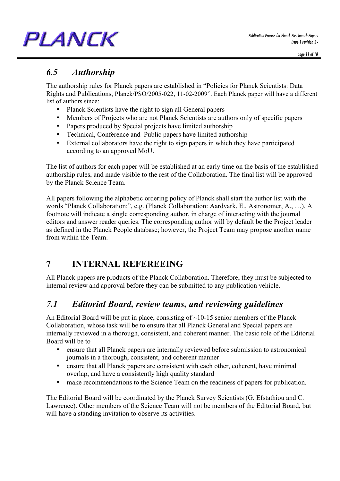# *6.5 Authorship*

The authorship rules for Planck papers are established in "Policies for Planck Scientists: Data Rights and Publications, Planck/PSO/2005-022, 11-02-2009". Each Planck paper will have a different list of authors since:

- Planck Scientists have the right to sign all General papers
- Members of Projects who are not Planck Scientists are authors only of specific papers
- Papers produced by Special projects have limited authorship
- Technical, Conference and Public papers have limited authorship
- External collaborators have the right to sign papers in which they have participated according to an approved MoU.

The list of authors for each paper will be established at an early time on the basis of the established authorship rules, and made visible to the rest of the Collaboration. The final list will be approved by the Planck Science Team.

All papers following the alphabetic ordering policy of Planck shall start the author list with the words "Planck Collaboration:", e.g. (Planck Collaboration: Aardvark, E., Astronomer, A., …). A footnote will indicate a single corresponding author, in charge of interacting with the journal editors and answer reader queries. The corresponding author will by default be the Project leader as defined in the Planck People database; however, the Project Team may propose another name from within the Team.

# **7 INTERNAL REFEREEING**

All Planck papers are products of the Planck Collaboration. Therefore, they must be subjected to internal review and approval before they can be submitted to any publication vehicle.

# *7.1 Editorial Board, review teams, and reviewing guidelines*

An Editorial Board will be put in place, consisting of  $\sim$ 10-15 senior members of the Planck Collaboration, whose task will be to ensure that all Planck General and Special papers are internally reviewed in a thorough, consistent, and coherent manner. The basic role of the Editorial Board will be to

- ensure that all Planck papers are internally reviewed before submission to astronomical journals in a thorough, consistent, and coherent manner
- ensure that all Planck papers are consistent with each other, coherent, have minimal overlap, and have a consistently high quality standard
- make recommendations to the Science Team on the readiness of papers for publication.

The Editorial Board will be coordinated by the Planck Survey Scientists (G. Efstathiou and C. Lawrence). Other members of the Science Team will not be members of the Editorial Board, but will have a standing invitation to observe its activities.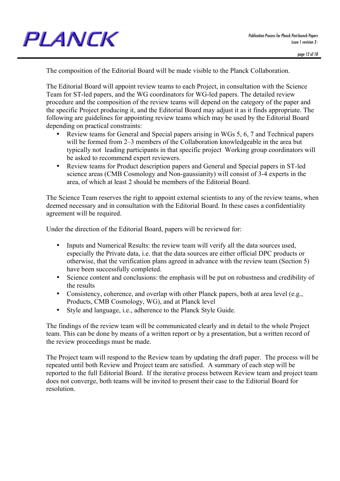The composition of the Editorial Board will be made visible to the Planck Collaboration.

The Editorial Board will appoint review teams to each Project, in consultation with the Science Team for ST-led papers, and the WG coordinators for WG-led papers. The detailed review procedure and the composition of the review teams will depend on the category of the paper and the specific Project producing it, and the Editorial Board may adjust it as it finds appropriate. The following are guidelines for appointing review teams which may be used by the Editorial Board depending on practical constraints:

- Review teams for General and Special papers arising in WGs 5, 6, 7 and Technical papers will be formed from 2–3 members of the Collaboration knowledgeable in the area but typically not leading participants in that specific project Working group coordinators will be asked to recommend expert reviewers.
- Review teams for Product description papers and General and Special papers in ST-led science areas (CMB Cosmology and Non-gaussianity) will consist of 3-4 experts in the area, of which at least 2 should be members of the Editorial Board.

The Science Team reserves the right to appoint external scientists to any of the review teams, when deemed necessary and in consultation with the Editorial Board. In these cases a confidentiality agreement will be required.

Under the direction of the Editorial Board, papers will be reviewed for:

- Inputs and Numerical Results: the review team will verify all the data sources used, especially the Private data, i.e. that the data sources are either official DPC products or otherwise, that the verification plans agreed in advance with the review team (Section 5) have been successfully completed.
- Science content and conclusions: the emphasis will be put on robustness and credibility of the results
- Consistency, coherence, and overlap with other Planck papers, both at area level (e.g., Products, CMB Cosmology, WG), and at Planck level
- Style and language, i.e., adherence to the Planck Style Guide.

The findings of the review team will be communicated clearly and in detail to the whole Project team. This can be done by means of a written report or by a presentation, but a written record of the review proceedings must be made.

The Project team will respond to the Review team by updating the draft paper. The process will be repeated until both Review and Project team are satisfied. A summary of each step will be reported to the full Editorial Board. If the iterative process between Review team and project team does not converge, both teams will be invited to present their case to the Editorial Board for resolution.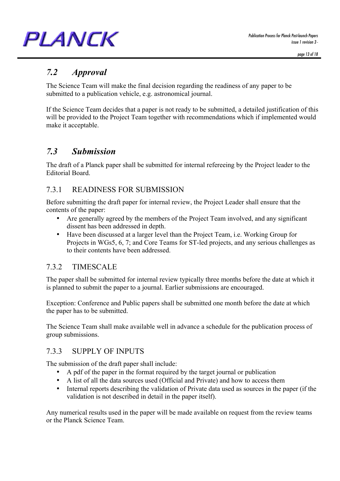*Publication Process for Planck Post-launch Papers issue 1 revision 3 -*

# PLANCK

# *7.2 Approval*

The Science Team will make the final decision regarding the readiness of any paper to be submitted to a publication vehicle, e.g. astronomical journal.

If the Science Team decides that a paper is not ready to be submitted, a detailed justification of this will be provided to the Project Team together with recommendations which if implemented would make it acceptable.

# *7.3 Submission*

The draft of a Planck paper shall be submitted for internal refereeing by the Project leader to the Editorial Board.

#### 7.3.1 READINESS FOR SUBMISSION

Before submitting the draft paper for internal review, the Project Leader shall ensure that the contents of the paper:

- Are generally agreed by the members of the Project Team involved, and any significant dissent has been addressed in depth.
- Have been discussed at a larger level than the Project Team, i.e. Working Group for Projects in WGs5, 6, 7; and Core Teams for ST-led projects, and any serious challenges as to their contents have been addressed.

#### 7.3.2 TIMESCALE

The paper shall be submitted for internal review typically three months before the date at which it is planned to submit the paper to a journal. Earlier submissions are encouraged.

Exception: Conference and Public papers shall be submitted one month before the date at which the paper has to be submitted.

The Science Team shall make available well in advance a schedule for the publication process of group submissions.

#### 7.3.3 SUPPLY OF INPUTS

The submission of the draft paper shall include:

- A pdf of the paper in the format required by the target journal or publication
- A list of all the data sources used (Official and Private) and how to access them
- Internal reports describing the validation of Private data used as sources in the paper (if the validation is not described in detail in the paper itself).

Any numerical results used in the paper will be made available on request from the review teams or the Planck Science Team.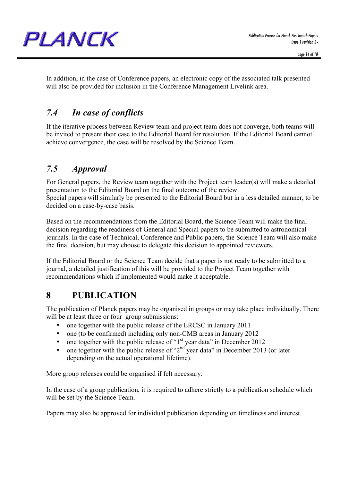In addition, in the case of Conference papers, an electronic copy of the associated talk presented will also be provided for inclusion in the Conference Management Livelink area.

# *7.4 In case of conflicts*

If the iterative process between Review team and project team does not converge, both teams will be invited to present their case to the Editorial Board for resolution. If the Editorial Board cannot achieve convergence, the case will be resolved by the Science Team.

# *7.5 Approval*

For General papers, the Review team together with the Project team leader(s) will make a detailed presentation to the Editorial Board on the final outcome of the review. Special papers will similarly be presented to the Editorial Board but in a less detailed manner, to be decided on a case-by-case basis.

Based on the recommendations from the Editorial Board, the Science Team will make the final decision regarding the readiness of General and Special papers to be submitted to astronomical journals. In the case of Technical, Conference and Public papers, the Science Team will also make the final decision, but may choose to delegate this decision to appointed reviewers.

If the Editorial Board or the Science Team decide that a paper is not ready to be submitted to a journal, a detailed justification of this will be provided to the Project Team together with recommendations which if implemented would make it acceptable.

# **8 PUBLICATION**

The publication of Planck papers may be organised in groups or may take place individually. There will be at least three or four group submissions:

- one together with the public release of the ERCSC in January 2011
- one (to be confirmed) including only non-CMB areas in January 2012
- one together with the public release of "1<sup>st</sup> year data" in December 2012
- one together with the public release of " $2<sup>nd</sup>$  year data" in December 2013 (or later depending on the actual operational lifetime).

More group releases could be organised if felt necessary.

In the case of a group publication, it is required to adhere strictly to a publication schedule which will be set by the Science Team.

Papers may also be approved for individual publication depending on timeliness and interest.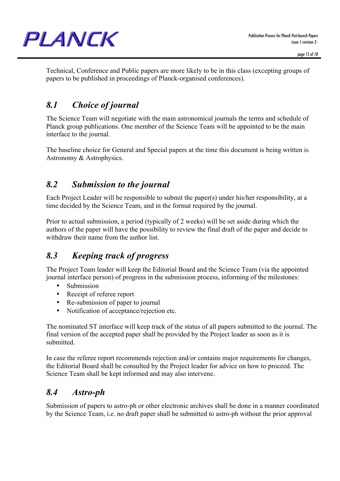Technical, Conference and Public papers are more likely to be in this class (excepting groups of papers to be published in proceedings of Planck-organised conferences).

# *8.1 Choice of journal*

The Science Team will negotiate with the main astronomical journals the terms and schedule of Planck group publications. One member of the Science Team will be appointed to be the main interface to the journal.

The baseline choice for General and Special papers at the time this document is being written is Astronomy & Astrophysics.

# *8.2 Submission to the journal*

Each Project Leader will be responsible to submit the paper(s) under his/her responsibility, at a time decided by the Science Team, and in the format required by the journal.

Prior to actual submission, a period (typically of 2 weeks) will be set aside during which the authors of the paper will have the possibility to review the final draft of the paper and decide to withdraw their name from the author list.

# *8.3 Keeping track of progress*

The Project Team leader will keep the Editorial Board and the Science Team (via the appointed journal interface person) of progress in the submission process, informing of the milestones:

- **Submission**
- Receipt of referee report
- Re-submission of paper to journal
- Notification of acceptance/rejection etc.

The nominated ST interface will keep track of the status of all papers submitted to the journal. The final version of the accepted paper shall be provided by the Project leader as soon as it is submitted.

In case the referee report recommends rejection and/or contains major requirements for changes, the Editorial Board shall be consulted by the Project leader for advice on how to proceed. The Science Team shall be kept informed and may also intervene.

# *8.4 Astro-ph*

Submission of papers to astro-ph or other electronic archives shall be done in a manner coordinated by the Science Team, i.e. no draft paper shall be submitted to astro-ph without the prior approval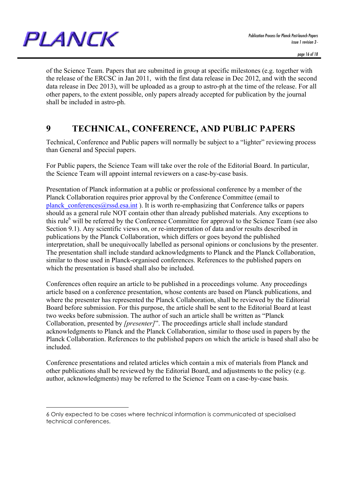

 $\overline{a}$ 

of the Science Team. Papers that are submitted in group at specific milestones (e.g. together with the release of the ERCSC in Jan 2011, with the first data release in Dec 2012, and with the second data release in Dec 2013), will be uploaded as a group to astro-ph at the time of the release. For all other papers, to the extent possible, only papers already accepted for publication by the journal shall be included in astro-ph.

#### **9 TECHNICAL, CONFERENCE, AND PUBLIC PAPERS**

Technical, Conference and Public papers will normally be subject to a "lighter" reviewing process than General and Special papers.

For Public papers, the Science Team will take over the role of the Editorial Board. In particular, the Science Team will appoint internal reviewers on a case-by-case basis.

Presentation of Planck information at a public or professional conference by a member of the Planck Collaboration requires prior approval by the Conference Committee (email to planck conferences $@rss$ d.esa.int ). It is worth re-emphasizing that Conference talks or papers should as a general rule NOT contain other than already published materials. Any exceptions to this rule<sup>6</sup> will be referred by the Conference Committee for approval to the Science Team (see also Section 9.1). Any scientific views on, or re-interpretation of data and/or results described in publications by the Planck Collaboration, which differs or goes beyond the published interpretation, shall be unequivocally labelled as personal opinions or conclusions by the presenter. The presentation shall include standard acknowledgments to Planck and the Planck Collaboration, similar to those used in Planck-organised conferences. References to the published papers on which the presentation is based shall also be included.

Conferences often require an article to be published in a proceedings volume. Any proceedings article based on a conference presentation, whose contents are based on Planck publications, and where the presenter has represented the Planck Collaboration, shall be reviewed by the Editorial Board before submission. For this purpose, the article shall be sent to the Editorial Board at least two weeks before submission. The author of such an article shall be written as "Planck Collaboration, presented by *[presenter]*". The proceedings article shall include standard acknowledgments to Planck and the Planck Collaboration, similar to those used in papers by the Planck Collaboration. References to the published papers on which the article is based shall also be included.

Conference presentations and related articles which contain a mix of materials from Planck and other publications shall be reviewed by the Editorial Board, and adjustments to the policy (e.g. author, acknowledgments) may be referred to the Science Team on a case-by-case basis.

<sup>6</sup> Only expected to be cases where technical information is communicated at specialised technical conferences.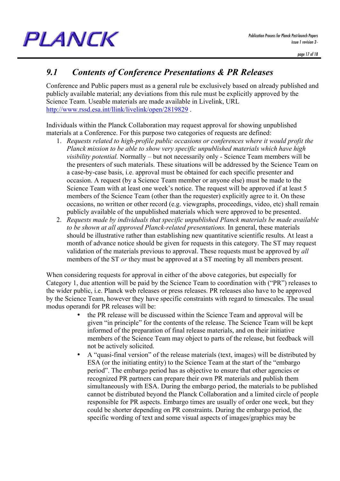# *9.1 Contents of Conference Presentations & PR Releases*

Conference and Public papers must as a general rule be exclusively based on already published and publicly available material; any deviations from this rule must be explicitly approved by the Science Team. Useable materials are made available in Livelink, URL http://www.rssd.esa.int/llink/livelink/open/2819829 .

Individuals within the Planck Collaboration may request approval for showing unpublished materials at a Conference. For this purpose two categories of requests are defined:

- 1. *Requests related to high-profile public occasions or conferences where it would profit the Planck mission to be able to show very specific unpublished materials which have high visibility potential.* Normally – but not necessarily only - Science Team members will be the presenters of such materials. These situations will be addressed by the Science Team on a case-by-case basis, i.e. approval must be obtained for each specific presenter and occasion. A request (by a Science Team member or anyone else) must be made to the Science Team with at least one week's notice. The request will be approved if at least 5 members of the Science Team (other than the requester) explicitly agree to it. On these occasions, no written or other record (e.g. viewgraphs, proceedings, video, etc) shall remain publicly available of the unpublished materials which were approved to be presented.
- 2. *Requests made by individuals that specific unpublished Planck materials be made available to be shown at all approved Planck-related presentations.* In general, these materials should be illustrative rather than establishing new quantitative scientific results. At least a month of advance notice should be given for requests in this category. The ST may request validation of the materials previous to approval. These requests must be approved by *all*  members of the ST *or* they must be approved at a ST meeting by all members present.

When considering requests for approval in either of the above categories, but especially for Category 1, due attention will be paid by the Science Team to coordination with ("PR") releases to the wider public, i.e. Planck web releases or press releases. PR releases also have to be approved by the Science Team, however they have specific constraints with regard to timescales. The usual modus operandi for PR releases will be:

- the PR release will be discussed within the Science Team and approval will be given "in principle" for the contents of the release. The Science Team will be kept informed of the preparation of final release materials, and on their initiative members of the Science Team may object to parts of the release, but feedback will not be actively solicited.
- A "quasi-final version" of the release materials (text, images) will be distributed by ESA (or the initiating entity) to the Science Team at the start of the "embargo period". The embargo period has as objective to ensure that other agencies or recognized PR partners can prepare their own PR materials and publish them simultaneously with ESA. During the embargo period, the materials to be published cannot be distributed beyond the Planck Collaboration and a limited circle of people responsible for PR aspects. Embargo times are usually of order one week, but they could be shorter depending on PR constraints. During the embargo period, the specific wording of text and some visual aspects of images/graphics may be